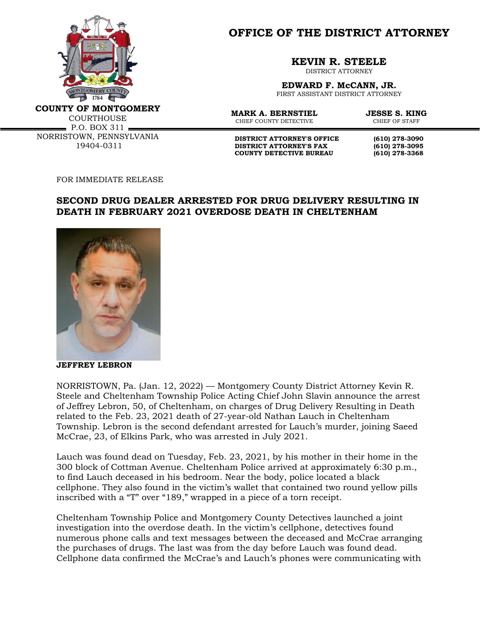

**OFFICE OF THE DISTRICT ATTORNEY**

**KEVIN R. STEELE**

DISTRICT ATTORNEY

**EDWARD F. McCANN, JR.** FIRST ASSISTANT DISTRICT ATTORNEY

**COUNTY OF MONTGOMERY**

COURTHOUSE  $\blacksquare$  P.O. BOX 311  $\blacksquare$ NORRISTOWN, PENNSYLVANIA 19404-0311

**MARK A. BERNSTIEL JESSE S. KING**<br>CHIEF COUNTY DETECTIVE CHIEF OF STAFF CHIEF COUNTY DETECTIVE

**DISTRICT ATTORNEY'S OFFICE (610) 278-3090 DISTRICT ATTORNEY'S FAX (610) 278-3095 COUNTY DETECTIVE BUREAU (610) 278-3368**

FOR IMMEDIATE RELEASE

## **SECOND DRUG DEALER ARRESTED FOR DRUG DELIVERY RESULTING IN DEATH IN FEBRUARY 2021 OVERDOSE DEATH IN CHELTENHAM**



**JEFFREY LEBRON**

NORRISTOWN, Pa. (Jan. 12, 2022) — Montgomery County District Attorney Kevin R. Steele and Cheltenham Township Police Acting Chief John Slavin announce the arrest of Jeffrey Lebron, 50, of Cheltenham, on charges of Drug Delivery Resulting in Death related to the Feb. 23, 2021 death of 27-year-old Nathan Lauch in Cheltenham Township. Lebron is the second defendant arrested for Lauch's murder, joining Saeed McCrae, 23, of Elkins Park, who was arrested in July 2021.

Lauch was found dead on Tuesday, Feb. 23, 2021, by his mother in their home in the 300 block of Cottman Avenue. Cheltenham Police arrived at approximately 6:30 p.m., to find Lauch deceased in his bedroom. Near the body, police located a black cellphone. They also found in the victim's wallet that contained two round yellow pills inscribed with a "T" over "189," wrapped in a piece of a torn receipt.

Cheltenham Township Police and Montgomery County Detectives launched a joint investigation into the overdose death. In the victim's cellphone, detectives found numerous phone calls and text messages between the deceased and McCrae arranging the purchases of drugs. The last was from the day before Lauch was found dead. Cellphone data confirmed the McCrae's and Lauch's phones were communicating with